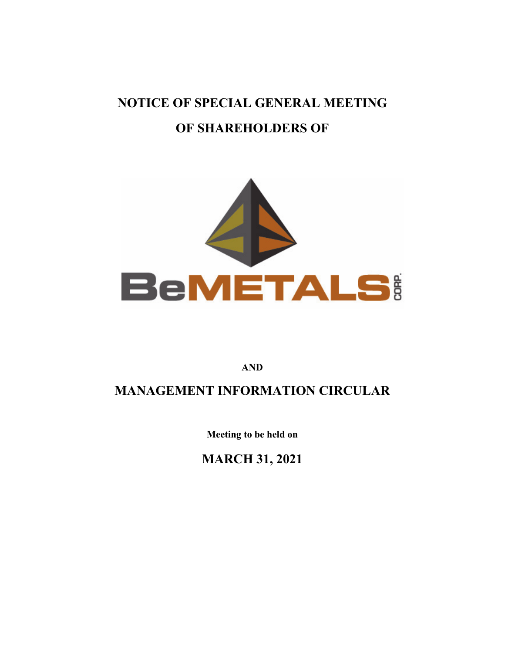# **NOTICE OF SPECIAL GENERAL MEETING OF SHAREHOLDERS OF**



**AND** 

# **MANAGEMENT INFORMATION CIRCULAR**

**Meeting to be held on** 

**MARCH 31, 2021**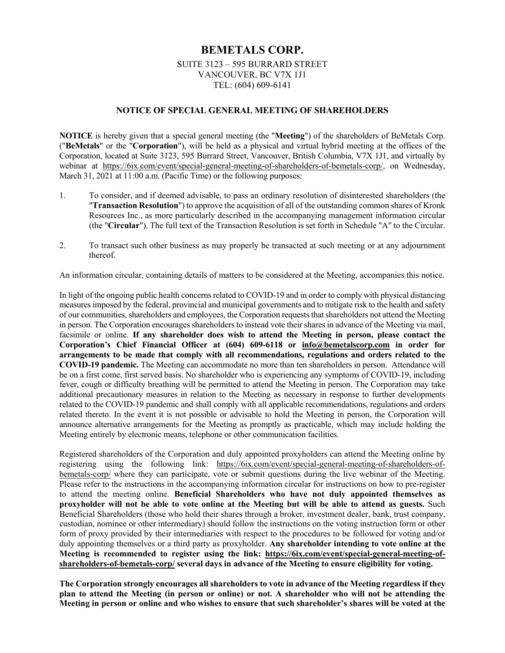# **BEMETALS CORP.**

#### SUITE 3123 – 595 BURRARD STREET VANCOUVER, BC V7X 1J1 TEL: (604) 609-6141

#### **NOTICE OF SPECIAL GENERAL MEETING OF SHAREHOLDERS**

**NOTICE** is hereby given that a special general meeting (the "**Meeting**") of the shareholders of BeMetals Corp. ("**BeMetals**" or the "**Corporation**"), will be held as a physical and virtual hybrid meeting at the offices of the Corporation, located at Suite 3123, 595 Burrard Street, Vancouver, British Columbia, V7X 1J1, and virtually by webinar at https://6ix.com/event/special-general-meeting-of-shareholders-of-bemetals-corp/, on Wednesday, March 31, 2021 at 11:00 a.m. (Pacific Time) or the following purposes:

- 1. To consider, and if deemed advisable, to pass an ordinary resolution of disinterested shareholders (the "**Transaction Resolution**") to approve the acquisition of all of the outstanding common shares of Kronk Resources Inc., as more particularly described in the accompanying management information circular (the "**Circular**"). The full text of the Transaction Resolution is set forth in Schedule "A" to the Circular.
- 2. To transact such other business as may properly be transacted at such meeting or at any adjournment thereof.

An information circular, containing details of matters to be considered at the Meeting, accompanies this notice.

In light of the ongoing public health concerns related to COVID-19 and in order to comply with physical distancing measures imposed by the federal, provincial and municipal governments and to mitigate risk to the health and safety of our communities, shareholders and employees, the Corporation requests that shareholders not attend the Meeting in person. The Corporation encourages shareholders to instead vote their shares in advance of the Meeting via mail, facsimile or online. **If any shareholder does wish to attend the Meeting in person, please contact the Corporation's Chief Financial Officer at (604) 609-6118 or info@bemetalscorp.com in order for arrangements to be made that comply with all recommendations, regulations and orders related to the COVID-19 pandemic.** The Meeting can accommodate no more than ten shareholders in person. Attendance will be on a first come, first served basis. No shareholder who is experiencing any symptoms of COVID-19, including fever, cough or difficulty breathing will be permitted to attend the Meeting in person. The Corporation may take additional precautionary measures in relation to the Meeting as necessary in response to further developments related to the COVID-19 pandemic and shall comply with all applicable recommendations, regulations and orders related thereto. In the event it is not possible or advisable to hold the Meeting in person, the Corporation will announce alternative arrangements for the Meeting as promptly as practicable, which may include holding the Meeting entirely by electronic means, telephone or other communication facilities.

Registered shareholders of the Corporation and duly appointed proxyholders can attend the Meeting online by registering using the following link: https://6ix.com/event/special-general-meeting-of-shareholders-ofbemetals-corp/ where they can participate, vote or submit questions during the live webinar of the Meeting. Please refer to the instructions in the accompanying information circular for instructions on how to pre-register to attend the meeting online. **Beneficial Shareholders who have not duly appointed themselves as proxyholder will not be able to vote online at the Meeting but will be able to attend as guests.** Such Beneficial Shareholders (those who hold their shares through a broker, investment dealer, bank, trust company, custodian, nominee or other intermediary) should follow the instructions on the voting instruction form or other form of proxy provided by their intermediaries with respect to the procedures to be followed for voting and/or duly appointing themselves or a third party as proxyholder. **Any shareholder intending to vote online at the Meeting is recommended to register using the link: https://6ix.com/event/special-general-meeting-ofshareholders-of-bemetals-corp/ several days in advance of the Meeting to ensure eligibility for voting.**

**The Corporation strongly encourages all shareholders to vote in advance of the Meeting regardless if they plan to attend the Meeting (in person or online) or not. A shareholder who will not be attending the Meeting in person or online and who wishes to ensure that such shareholder's shares will be voted at the**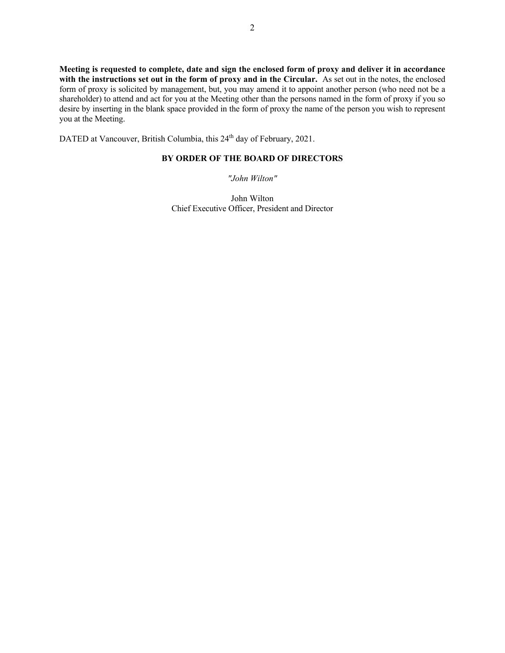**Meeting is requested to complete, date and sign the enclosed form of proxy and deliver it in accordance**  with the instructions set out in the form of proxy and in the Circular. As set out in the notes, the enclosed form of proxy is solicited by management, but, you may amend it to appoint another person (who need not be a shareholder) to attend and act for you at the Meeting other than the persons named in the form of proxy if you so desire by inserting in the blank space provided in the form of proxy the name of the person you wish to represent you at the Meeting.

DATED at Vancouver, British Columbia, this 24<sup>th</sup> day of February, 2021.

## **BY ORDER OF THE BOARD OF DIRECTORS**

*"John Wilton"* 

John Wilton Chief Executive Officer, President and Director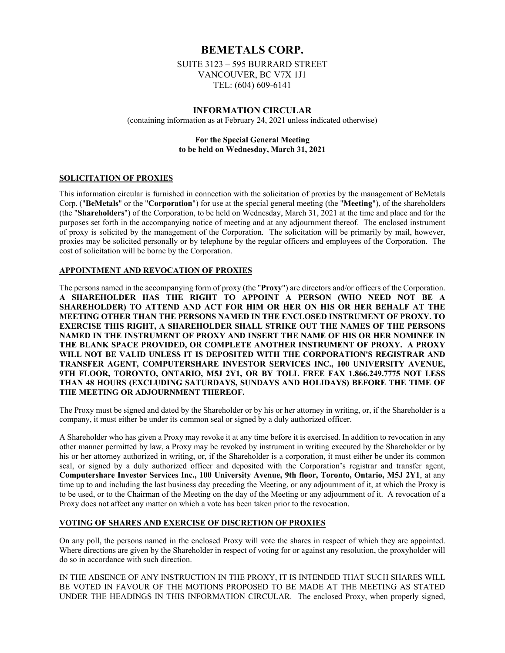# **BEMETALS CORP.**

SUITE 3123 – 595 BURRARD STREET VANCOUVER, BC V7X 1J1 TEL: (604) 609-6141

#### **INFORMATION CIRCULAR**

(containing information as at February 24, 2021 unless indicated otherwise)

#### **For the Special General Meeting to be held on Wednesday, March 31, 2021**

#### **SOLICITATION OF PROXIES**

This information circular is furnished in connection with the solicitation of proxies by the management of BeMetals Corp. ("**BeMetals**" or the "**Corporation**") for use at the special general meeting (the "**Meeting**"), of the shareholders (the "**Shareholders**") of the Corporation, to be held on Wednesday, March 31, 2021 at the time and place and for the purposes set forth in the accompanying notice of meeting and at any adjournment thereof. The enclosed instrument of proxy is solicited by the management of the Corporation. The solicitation will be primarily by mail, however, proxies may be solicited personally or by telephone by the regular officers and employees of the Corporation. The cost of solicitation will be borne by the Corporation.

#### **APPOINTMENT AND REVOCATION OF PROXIES**

The persons named in the accompanying form of proxy (the "**Proxy**") are directors and/or officers of the Corporation. **A SHAREHOLDER HAS THE RIGHT TO APPOINT A PERSON (WHO NEED NOT BE A SHAREHOLDER) TO ATTEND AND ACT FOR HIM OR HER ON HIS OR HER BEHALF AT THE MEETING OTHER THAN THE PERSONS NAMED IN THE ENCLOSED INSTRUMENT OF PROXY. TO EXERCISE THIS RIGHT, A SHAREHOLDER SHALL STRIKE OUT THE NAMES OF THE PERSONS NAMED IN THE INSTRUMENT OF PROXY AND INSERT THE NAME OF HIS OR HER NOMINEE IN THE BLANK SPACE PROVIDED, OR COMPLETE ANOTHER INSTRUMENT OF PROXY. A PROXY WILL NOT BE VALID UNLESS IT IS DEPOSITED WITH THE CORPORATION'S REGISTRAR AND TRANSFER AGENT, COMPUTERSHARE INVESTOR SERVICES INC., 100 UNIVERSITY AVENUE, 9TH FLOOR, TORONTO, ONTARIO, M5J 2Y1, OR BY TOLL FREE FAX 1.866.249.7775 NOT LESS THAN 48 HOURS (EXCLUDING SATURDAYS, SUNDAYS AND HOLIDAYS) BEFORE THE TIME OF THE MEETING OR ADJOURNMENT THEREOF.**

The Proxy must be signed and dated by the Shareholder or by his or her attorney in writing, or, if the Shareholder is a company, it must either be under its common seal or signed by a duly authorized officer.

A Shareholder who has given a Proxy may revoke it at any time before it is exercised. In addition to revocation in any other manner permitted by law, a Proxy may be revoked by instrument in writing executed by the Shareholder or by his or her attorney authorized in writing, or, if the Shareholder is a corporation, it must either be under its common seal, or signed by a duly authorized officer and deposited with the Corporation's registrar and transfer agent, **Computershare Investor Services Inc., 100 University Avenue, 9th floor, Toronto, Ontario, M5J 2Y1**, at any time up to and including the last business day preceding the Meeting, or any adjournment of it, at which the Proxy is to be used, or to the Chairman of the Meeting on the day of the Meeting or any adjournment of it. A revocation of a Proxy does not affect any matter on which a vote has been taken prior to the revocation.

#### **VOTING OF SHARES AND EXERCISE OF DISCRETION OF PROXIES**

On any poll, the persons named in the enclosed Proxy will vote the shares in respect of which they are appointed. Where directions are given by the Shareholder in respect of voting for or against any resolution, the proxyholder will do so in accordance with such direction.

IN THE ABSENCE OF ANY INSTRUCTION IN THE PROXY, IT IS INTENDED THAT SUCH SHARES WILL BE VOTED IN FAVOUR OF THE MOTIONS PROPOSED TO BE MADE AT THE MEETING AS STATED UNDER THE HEADINGS IN THIS INFORMATION CIRCULAR. The enclosed Proxy, when properly signed,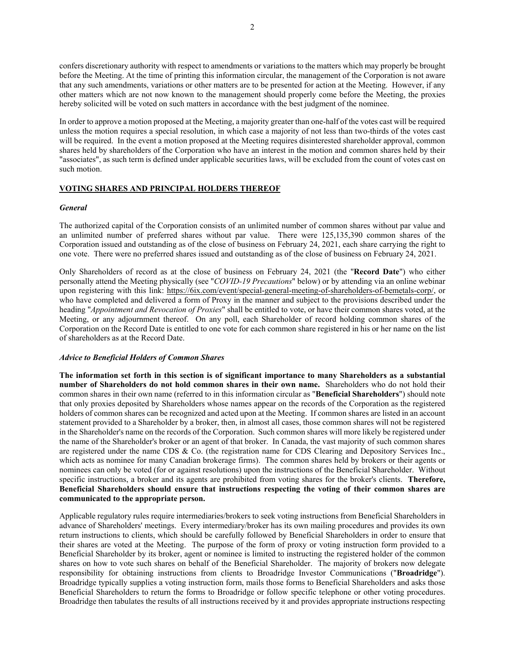confers discretionary authority with respect to amendments or variations to the matters which may properly be brought before the Meeting. At the time of printing this information circular, the management of the Corporation is not aware that any such amendments, variations or other matters are to be presented for action at the Meeting. However, if any other matters which are not now known to the management should properly come before the Meeting, the proxies hereby solicited will be voted on such matters in accordance with the best judgment of the nominee.

In order to approve a motion proposed at the Meeting, a majority greater than one-half of the votes cast will be required unless the motion requires a special resolution, in which case a majority of not less than two-thirds of the votes cast will be required. In the event a motion proposed at the Meeting requires disinterested shareholder approval, common shares held by shareholders of the Corporation who have an interest in the motion and common shares held by their "associates", as such term is defined under applicable securities laws, will be excluded from the count of votes cast on such motion.

#### **VOTING SHARES AND PRINCIPAL HOLDERS THEREOF**

#### *General*

The authorized capital of the Corporation consists of an unlimited number of common shares without par value and an unlimited number of preferred shares without par value. There were 125,135,390 common shares of the Corporation issued and outstanding as of the close of business on February 24, 2021, each share carrying the right to one vote. There were no preferred shares issued and outstanding as of the close of business on February 24, 2021.

Only Shareholders of record as at the close of business on February 24, 2021 (the "**Record Date**") who either personally attend the Meeting physically (see "*COVID-19 Precautions*" below) or by attending via an online webinar upon registering with this link: https://6ix.com/event/special-general-meeting-of-shareholders-of-bemetals-corp/, or who have completed and delivered a form of Proxy in the manner and subject to the provisions described under the heading "*Appointment and Revocation of Proxies*" shall be entitled to vote, or have their common shares voted, at the Meeting, or any adjournment thereof. On any poll, each Shareholder of record holding common shares of the Corporation on the Record Date is entitled to one vote for each common share registered in his or her name on the list of shareholders as at the Record Date.

#### *Advice to Beneficial Holders of Common Shares*

**The information set forth in this section is of significant importance to many Shareholders as a substantial number of Shareholders do not hold common shares in their own name.** Shareholders who do not hold their common shares in their own name (referred to in this information circular as "**Beneficial Shareholders**") should note that only proxies deposited by Shareholders whose names appear on the records of the Corporation as the registered holders of common shares can be recognized and acted upon at the Meeting. If common shares are listed in an account statement provided to a Shareholder by a broker, then, in almost all cases, those common shares will not be registered in the Shareholder's name on the records of the Corporation. Such common shares will more likely be registered under the name of the Shareholder's broker or an agent of that broker. In Canada, the vast majority of such common shares are registered under the name CDS & Co. (the registration name for CDS Clearing and Depository Services Inc., which acts as nominee for many Canadian brokerage firms). The common shares held by brokers or their agents or nominees can only be voted (for or against resolutions) upon the instructions of the Beneficial Shareholder. Without specific instructions, a broker and its agents are prohibited from voting shares for the broker's clients. **Therefore, Beneficial Shareholders should ensure that instructions respecting the voting of their common shares are communicated to the appropriate person.** 

Applicable regulatory rules require intermediaries/brokers to seek voting instructions from Beneficial Shareholders in advance of Shareholders' meetings. Every intermediary/broker has its own mailing procedures and provides its own return instructions to clients, which should be carefully followed by Beneficial Shareholders in order to ensure that their shares are voted at the Meeting. The purpose of the form of proxy or voting instruction form provided to a Beneficial Shareholder by its broker, agent or nominee is limited to instructing the registered holder of the common shares on how to vote such shares on behalf of the Beneficial Shareholder. The majority of brokers now delegate responsibility for obtaining instructions from clients to Broadridge Investor Communications ("**Broadridge**"). Broadridge typically supplies a voting instruction form, mails those forms to Beneficial Shareholders and asks those Beneficial Shareholders to return the forms to Broadridge or follow specific telephone or other voting procedures. Broadridge then tabulates the results of all instructions received by it and provides appropriate instructions respecting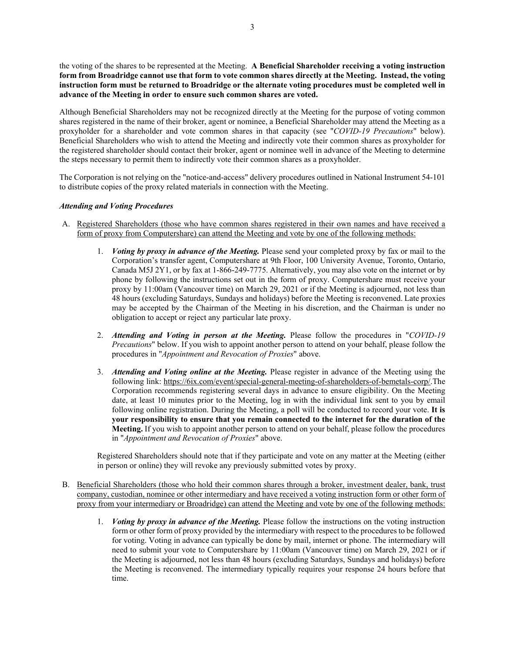the voting of the shares to be represented at the Meeting. **A Beneficial Shareholder receiving a voting instruction form from Broadridge cannot use that form to vote common shares directly at the Meeting. Instead, the voting instruction form must be returned to Broadridge or the alternate voting procedures must be completed well in advance of the Meeting in order to ensure such common shares are voted.** 

Although Beneficial Shareholders may not be recognized directly at the Meeting for the purpose of voting common shares registered in the name of their broker, agent or nominee, a Beneficial Shareholder may attend the Meeting as a proxyholder for a shareholder and vote common shares in that capacity (see "*COVID-19 Precautions*" below). Beneficial Shareholders who wish to attend the Meeting and indirectly vote their common shares as proxyholder for the registered shareholder should contact their broker, agent or nominee well in advance of the Meeting to determine the steps necessary to permit them to indirectly vote their common shares as a proxyholder.

The Corporation is not relying on the "notice-and-access" delivery procedures outlined in National Instrument 54-101 to distribute copies of the proxy related materials in connection with the Meeting.

#### *Attending and Voting Procedures*

- A. Registered Shareholders (those who have common shares registered in their own names and have received a form of proxy from Computershare) can attend the Meeting and vote by one of the following methods:
	- 1. *Voting by proxy in advance of the Meeting.* Please send your completed proxy by fax or mail to the Corporation's transfer agent, Computershare at 9th Floor, 100 University Avenue, Toronto, Ontario, Canada M5J 2Y1, or by fax at 1-866-249-7775. Alternatively, you may also vote on the internet or by phone by following the instructions set out in the form of proxy. Computershare must receive your proxy by 11:00am (Vancouver time) on March 29, 2021 or if the Meeting is adjourned, not less than 48 hours (excluding Saturdays, Sundays and holidays) before the Meeting is reconvened. Late proxies may be accepted by the Chairman of the Meeting in his discretion, and the Chairman is under no obligation to accept or reject any particular late proxy.
	- 2. *Attending and Voting in person at the Meeting.* Please follow the procedures in "*COVID-19 Precautions*" below. If you wish to appoint another person to attend on your behalf, please follow the procedures in "*Appointment and Revocation of Proxies*" above.
	- 3. *Attending and Voting online at the Meeting.* Please register in advance of the Meeting using the following link: https://6ix.com/event/special-general-meeting-of-shareholders-of-bemetals-corp/.The Corporation recommends registering several days in advance to ensure eligibility. On the Meeting date, at least 10 minutes prior to the Meeting, log in with the individual link sent to you by email following online registration. During the Meeting, a poll will be conducted to record your vote. **It is your responsibility to ensure that you remain connected to the internet for the duration of the Meeting.** If you wish to appoint another person to attend on your behalf, please follow the procedures in "*Appointment and Revocation of Proxies*" above.

Registered Shareholders should note that if they participate and vote on any matter at the Meeting (either in person or online) they will revoke any previously submitted votes by proxy.

- B. Beneficial Shareholders (those who hold their common shares through a broker, investment dealer, bank, trust company, custodian, nominee or other intermediary and have received a voting instruction form or other form of proxy from your intermediary or Broadridge) can attend the Meeting and vote by one of the following methods:
	- 1. *Voting by proxy in advance of the Meeting.* Please follow the instructions on the voting instruction form or other form of proxy provided by the intermediary with respect to the procedures to be followed for voting. Voting in advance can typically be done by mail, internet or phone. The intermediary will need to submit your vote to Computershare by 11:00am (Vancouver time) on March 29, 2021 or if the Meeting is adjourned, not less than 48 hours (excluding Saturdays, Sundays and holidays) before the Meeting is reconvened. The intermediary typically requires your response 24 hours before that time.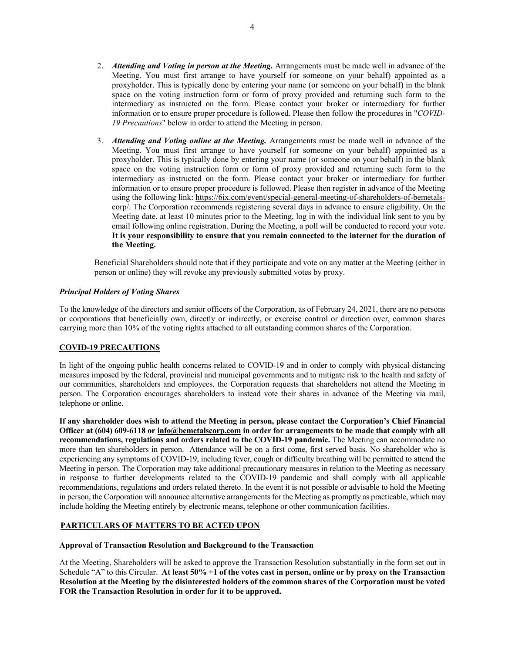- 2. *Attending and Voting in person at the Meeting.* Arrangements must be made well in advance of the Meeting. You must first arrange to have yourself (or someone on your behalf) appointed as a proxyholder. This is typically done by entering your name (or someone on your behalf) in the blank space on the voting instruction form or form of proxy provided and returning such form to the intermediary as instructed on the form. Please contact your broker or intermediary for further information or to ensure proper procedure is followed. Please then follow the procedures in "*COVID-19 Precautions*" below in order to attend the Meeting in person.
- 3. *Attending and Voting online at the Meeting.* Arrangements must be made well in advance of the Meeting. You must first arrange to have yourself (or someone on your behalf) appointed as a proxyholder. This is typically done by entering your name (or someone on your behalf) in the blank space on the voting instruction form or form of proxy provided and returning such form to the intermediary as instructed on the form. Please contact your broker or intermediary for further information or to ensure proper procedure is followed. Please then register in advance of the Meeting using the following link: https://6ix.com/event/special-general-meeting-of-shareholders-of-bemetalscorp/. The Corporation recommends registering several days in advance to ensure eligibility. On the Meeting date, at least 10 minutes prior to the Meeting, log in with the individual link sent to you by email following online registration. During the Meeting, a poll will be conducted to record your vote. **It is your responsibility to ensure that you remain connected to the internet for the duration of the Meeting.**

Beneficial Shareholders should note that if they participate and vote on any matter at the Meeting (either in person or online) they will revoke any previously submitted votes by proxy.

#### *Principal Holders of Voting Shares*

To the knowledge of the directors and senior officers of the Corporation, as of February 24, 2021, there are no persons or corporations that beneficially own, directly or indirectly, or exercise control or direction over, common shares carrying more than 10% of the voting rights attached to all outstanding common shares of the Corporation.

#### **COVID-19 PRECAUTIONS**

In light of the ongoing public health concerns related to COVID-19 and in order to comply with physical distancing measures imposed by the federal, provincial and municipal governments and to mitigate risk to the health and safety of our communities, shareholders and employees, the Corporation requests that shareholders not attend the Meeting in person. The Corporation encourages shareholders to instead vote their shares in advance of the Meeting via mail, telephone or online.

**If any shareholder does wish to attend the Meeting in person, please contact the Corporation's Chief Financial Officer at (604) 609-6118 or info@bemetalscorp.com in order for arrangements to be made that comply with all recommendations, regulations and orders related to the COVID-19 pandemic.** The Meeting can accommodate no more than ten shareholders in person. Attendance will be on a first come, first served basis. No shareholder who is experiencing any symptoms of COVID-19, including fever, cough or difficulty breathing will be permitted to attend the Meeting in person. The Corporation may take additional precautionary measures in relation to the Meeting as necessary in response to further developments related to the COVID-19 pandemic and shall comply with all applicable recommendations, regulations and orders related thereto. In the event it is not possible or advisable to hold the Meeting in person, the Corporation will announce alternative arrangements for the Meeting as promptly as practicable, which may include holding the Meeting entirely by electronic means, telephone or other communication facilities.

#### **PARTICULARS OF MATTERS TO BE ACTED UPON**

#### **Approval of Transaction Resolution and Background to the Transaction**

At the Meeting, Shareholders will be asked to approve the Transaction Resolution substantially in the form set out in Schedule "A" to this Circular. **At least 50% +1 of the votes cast in person, online or by proxy on the Transaction Resolution at the Meeting by the disinterested holders of the common shares of the Corporation must be voted FOR the Transaction Resolution in order for it to be approved.**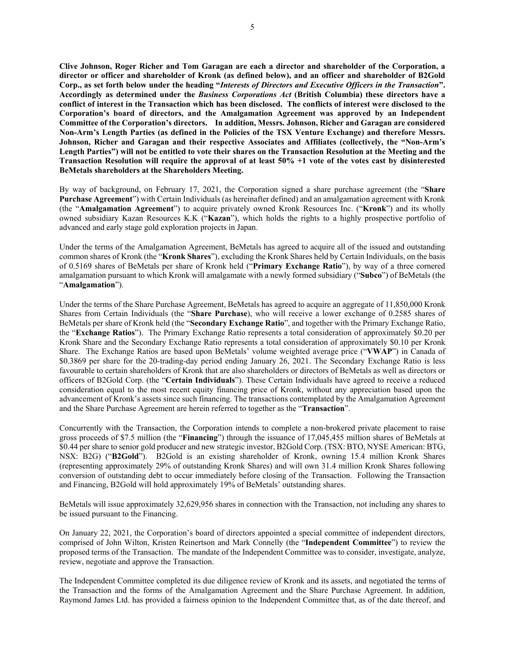**Clive Johnson, Roger Richer and Tom Garagan are each a director and shareholder of the Corporation, a director or officer and shareholder of Kronk (as defined below), and an officer and shareholder of B2Gold Corp., as set forth below under the heading "***Interests of Directors and Executive Officers in the Transaction***". Accordingly as determined under the** *Business Corporations Act* **(British Columbia) these directors have a conflict of interest in the Transaction which has been disclosed. The conflicts of interest were disclosed to the Corporation's board of directors, and the Amalgamation Agreement was approved by an Independent Committee of the Corporation's directors. In addition, Messrs. Johnson, Richer and Garagan are considered Non-Arm's Length Parties (as defined in the Policies of the TSX Venture Exchange) and therefore Messrs. Johnson, Richer and Garagan and their respective Associates and Affiliates (collectively, the "Non-Arm's Length Parties") will not be entitled to vote their shares on the Transaction Resolution at the Meeting and the Transaction Resolution will require the approval of at least 50% +1 vote of the votes cast by disinterested BeMetals shareholders at the Shareholders Meeting.** 

By way of background, on February 17, 2021, the Corporation signed a share purchase agreement (the "**Share Purchase Agreement**") with Certain Individuals (as hereinafter defined) and an amalgamation agreement with Kronk (the "**Amalgamation Agreement**") to acquire privately owned Kronk Resources Inc. ("**Kronk**") and its wholly owned subsidiary Kazan Resources K.K ("**Kazan**"), which holds the rights to a highly prospective portfolio of advanced and early stage gold exploration projects in Japan.

Under the terms of the Amalgamation Agreement, BeMetals has agreed to acquire all of the issued and outstanding common shares of Kronk (the "**Kronk Shares**"), excluding the Kronk Shares held by Certain Individuals, on the basis of 0.5169 shares of BeMetals per share of Kronk held ("**Primary Exchange Ratio**"), by way of a three cornered amalgamation pursuant to which Kronk will amalgamate with a newly formed subsidiary ("**Subco**") of BeMetals (the "**Amalgamation**").

Under the terms of the Share Purchase Agreement, BeMetals has agreed to acquire an aggregate of 11,850,000 Kronk Shares from Certain Individuals (the "**Share Purchase**), who will receive a lower exchange of 0.2585 shares of BeMetals per share of Kronk held (the "**Secondary Exchange Ratio**", and together with the Primary Exchange Ratio, the "**Exchange Ratios**"). The Primary Exchange Ratio represents a total consideration of approximately \$0.20 per Kronk Share and the Secondary Exchange Ratio represents a total consideration of approximately \$0.10 per Kronk Share. The Exchange Ratios are based upon BeMetals' volume weighted average price ("**VWAP**") in Canada of \$0.3869 per share for the 20-trading-day period ending January 26, 2021. The Secondary Exchange Ratio is less favourable to certain shareholders of Kronk that are also shareholders or directors of BeMetals as well as directors or officers of B2Gold Corp. (the "**Certain Individuals**"). These Certain Individuals have agreed to receive a reduced consideration equal to the most recent equity financing price of Kronk, without any appreciation based upon the advancement of Kronk's assets since such financing. The transactions contemplated by the Amalgamation Agreement and the Share Purchase Agreement are herein referred to together as the "**Transaction**".

Concurrently with the Transaction, the Corporation intends to complete a non-brokered private placement to raise gross proceeds of \$7.5 million (the "**Financing**") through the issuance of 17,045,455 million shares of BeMetals at \$0.44 per share to senior gold producer and new strategic investor, B2Gold Corp. (TSX: BTO, NYSE American: BTG, NSX: B2G) ("**B2Gold**"). B2Gold is an existing shareholder of Kronk, owning 15.4 million Kronk Shares (representing approximately 29% of outstanding Kronk Shares) and will own 31.4 million Kronk Shares following conversion of outstanding debt to occur immediately before closing of the Transaction. Following the Transaction and Financing, B2Gold will hold approximately 19% of BeMetals' outstanding shares.

BeMetals will issue approximately 32,629,956 shares in connection with the Transaction, not including any shares to be issued pursuant to the Financing.

On January 22, 2021, the Corporation's board of directors appointed a special committee of independent directors, comprised of John Wilton, Kristen Reinertson and Mark Connelly (the "**Independent Committee**") to review the proposed terms of the Transaction. The mandate of the Independent Committee was to consider, investigate, analyze, review, negotiate and approve the Transaction.

The Independent Committee completed its due diligence review of Kronk and its assets, and negotiated the terms of the Transaction and the forms of the Amalgamation Agreement and the Share Purchase Agreement. In addition, Raymond James Ltd. has provided a fairness opinion to the Independent Committee that, as of the date thereof, and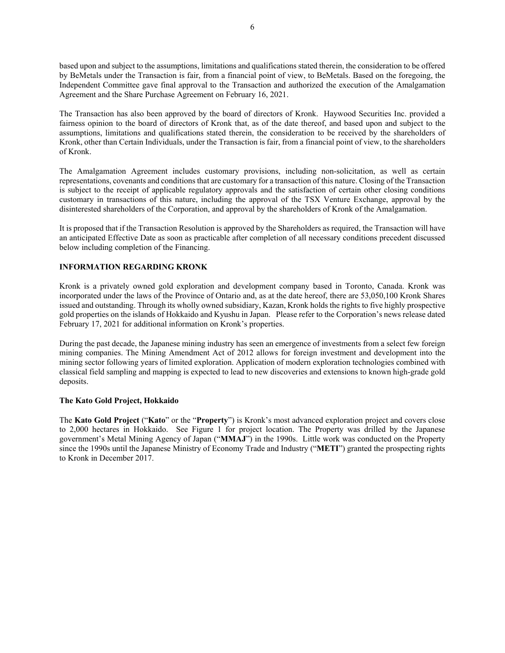based upon and subject to the assumptions, limitations and qualifications stated therein, the consideration to be offered by BeMetals under the Transaction is fair, from a financial point of view, to BeMetals. Based on the foregoing, the Independent Committee gave final approval to the Transaction and authorized the execution of the Amalgamation Agreement and the Share Purchase Agreement on February 16, 2021.

The Transaction has also been approved by the board of directors of Kronk. Haywood Securities Inc. provided a fairness opinion to the board of directors of Kronk that, as of the date thereof, and based upon and subject to the assumptions, limitations and qualifications stated therein, the consideration to be received by the shareholders of Kronk, other than Certain Individuals, under the Transaction is fair, from a financial point of view, to the shareholders of Kronk.

The Amalgamation Agreement includes customary provisions, including non-solicitation, as well as certain representations, covenants and conditions that are customary for a transaction of this nature. Closing of the Transaction is subject to the receipt of applicable regulatory approvals and the satisfaction of certain other closing conditions customary in transactions of this nature, including the approval of the TSX Venture Exchange, approval by the disinterested shareholders of the Corporation, and approval by the shareholders of Kronk of the Amalgamation.

It is proposed that if the Transaction Resolution is approved by the Shareholders as required, the Transaction will have an anticipated Effective Date as soon as practicable after completion of all necessary conditions precedent discussed below including completion of the Financing.

#### **INFORMATION REGARDING KRONK**

Kronk is a privately owned gold exploration and development company based in Toronto, Canada. Kronk was incorporated under the laws of the Province of Ontario and, as at the date hereof, there are 53,050,100 Kronk Shares issued and outstanding. Through its wholly owned subsidiary, Kazan, Kronk holds the rights to five highly prospective gold properties on the islands of Hokkaido and Kyushu in Japan. Please refer to the Corporation's news release dated February 17, 2021 for additional information on Kronk's properties.

During the past decade, the Japanese mining industry has seen an emergence of investments from a select few foreign mining companies. The Mining Amendment Act of 2012 allows for foreign investment and development into the mining sector following years of limited exploration. Application of modern exploration technologies combined with classical field sampling and mapping is expected to lead to new discoveries and extensions to known high-grade gold deposits.

#### **The Kato Gold Project, Hokkaido**

The **Kato Gold Project** ("**Kato**" or the "**Property**") is Kronk's most advanced exploration project and covers close to 2,000 hectares in Hokkaido. See Figure 1 for project location. The Property was drilled by the Japanese government's Metal Mining Agency of Japan ("**MMAJ**") in the 1990s. Little work was conducted on the Property since the 1990s until the Japanese Ministry of Economy Trade and Industry ("**METI**") granted the prospecting rights to Kronk in December 2017.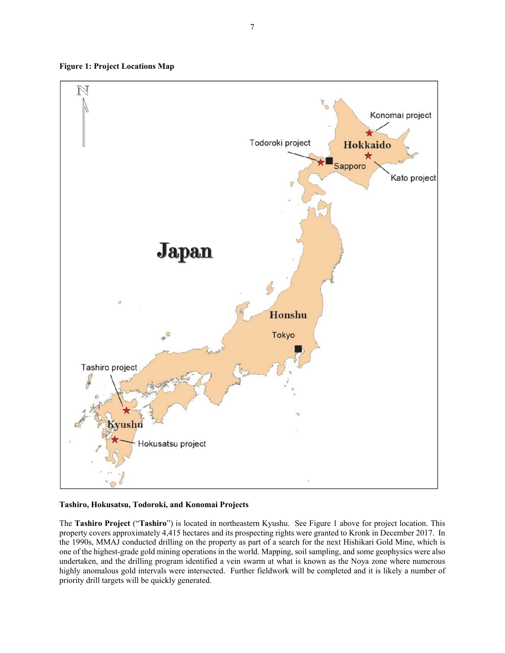**Figure 1: Project Locations Map** 



#### **Tashiro, Hokusatsu, Todoroki, and Konomai Projects**

The **Tashiro Project** ("**Tashiro**") is located in northeastern Kyushu. See Figure 1 above for project location. This property covers approximately 4,415 hectares and its prospecting rights were granted to Kronk in December 2017. In the 1990s, MMAJ conducted drilling on the property as part of a search for the next Hishikari Gold Mine, which is one of the highest-grade gold mining operations in the world. Mapping, soil sampling, and some geophysics were also undertaken, and the drilling program identified a vein swarm at what is known as the Noya zone where numerous highly anomalous gold intervals were intersected. Further fieldwork will be completed and it is likely a number of priority drill targets will be quickly generated.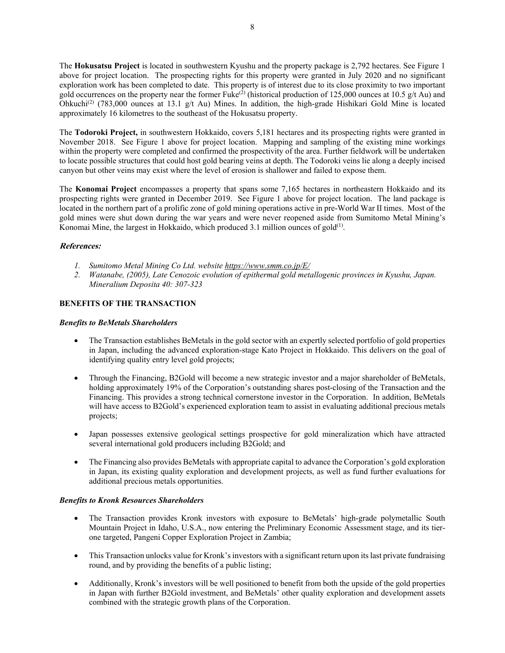The **Hokusatsu Project** is located in southwestern Kyushu and the property package is 2,792 hectares. See Figure 1 above for project location. The prospecting rights for this property were granted in July 2020 and no significant exploration work has been completed to date. This property is of interest due to its close proximity to two important gold occurrences on the property near the former  $Fuke^{(2)}$  (historical production of 125,000 ounces at 10.5 g/t Au) and Ohkuchi<sup>(2)</sup> (783,000 ounces at 13.1 g/t Au) Mines. In addition, the high-grade Hishikari Gold Mine is located approximately 16 kilometres to the southeast of the Hokusatsu property.

The **Todoroki Project,** in southwestern Hokkaido, covers 5,181 hectares and its prospecting rights were granted in November 2018. See Figure 1 above for project location. Mapping and sampling of the existing mine workings within the property were completed and confirmed the prospectivity of the area. Further fieldwork will be undertaken to locate possible structures that could host gold bearing veins at depth. The Todoroki veins lie along a deeply incised canyon but other veins may exist where the level of erosion is shallower and failed to expose them.

The **Konomai Project** encompasses a property that spans some 7,165 hectares in northeastern Hokkaido and its prospecting rights were granted in December 2019. See Figure 1 above for project location. The land package is located in the northern part of a prolific zone of gold mining operations active in pre-World War II times. Most of the gold mines were shut down during the war years and were never reopened aside from Sumitomo Metal Mining's Konomai Mine, the largest in Hokkaido, which produced 3.1 million ounces of gold $(1)$ .

#### **References:**

- *1. Sumitomo Metal Mining Co Ltd. website https://www.smm.co.jp/E/*
- *2. Watanabe, (2005), Late Cenozoic evolution of epithermal gold metallogenic provinces in Kyushu, Japan. Mineralium Deposita 40: 307-323*

#### **BENEFITS OF THE TRANSACTION**

#### *Benefits to BeMetals Shareholders*

- The Transaction establishes BeMetals in the gold sector with an expertly selected portfolio of gold properties in Japan, including the advanced exploration-stage Kato Project in Hokkaido. This delivers on the goal of identifying quality entry level gold projects;
- Through the Financing, B2Gold will become a new strategic investor and a major shareholder of BeMetals, holding approximately 19% of the Corporation's outstanding shares post-closing of the Transaction and the Financing. This provides a strong technical cornerstone investor in the Corporation. In addition, BeMetals will have access to B2Gold's experienced exploration team to assist in evaluating additional precious metals projects;
- Japan possesses extensive geological settings prospective for gold mineralization which have attracted several international gold producers including B2Gold; and
- The Financing also provides BeMetals with appropriate capital to advance the Corporation's gold exploration in Japan, its existing quality exploration and development projects, as well as fund further evaluations for additional precious metals opportunities.

#### *Benefits to Kronk Resources Shareholders*

- The Transaction provides Kronk investors with exposure to BeMetals' high-grade polymetallic South Mountain Project in Idaho, U.S.A., now entering the Preliminary Economic Assessment stage, and its tierone targeted, Pangeni Copper Exploration Project in Zambia;
- This Transaction unlocks value for Kronk's investors with a significant return upon its last private fundraising round, and by providing the benefits of a public listing;
- Additionally, Kronk's investors will be well positioned to benefit from both the upside of the gold properties in Japan with further B2Gold investment, and BeMetals' other quality exploration and development assets combined with the strategic growth plans of the Corporation.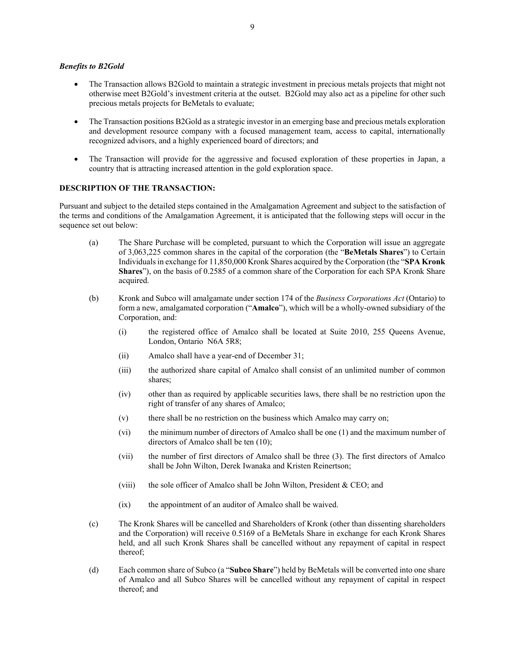#### *Benefits to B2Gold*

- The Transaction allows B2Gold to maintain a strategic investment in precious metals projects that might not otherwise meet B2Gold's investment criteria at the outset. B2Gold may also act as a pipeline for other such precious metals projects for BeMetals to evaluate;
- The Transaction positions B2Gold as a strategic investor in an emerging base and precious metals exploration and development resource company with a focused management team, access to capital, internationally recognized advisors, and a highly experienced board of directors; and
- The Transaction will provide for the aggressive and focused exploration of these properties in Japan, a country that is attracting increased attention in the gold exploration space.

#### **DESCRIPTION OF THE TRANSACTION:**

Pursuant and subject to the detailed steps contained in the Amalgamation Agreement and subject to the satisfaction of the terms and conditions of the Amalgamation Agreement, it is anticipated that the following steps will occur in the sequence set out below:

- (a) The Share Purchase will be completed, pursuant to which the Corporation will issue an aggregate of 3,063,225 common shares in the capital of the corporation (the "**BeMetals Shares**") to Certain Individuals in exchange for 11,850,000 Kronk Shares acquired by the Corporation (the "**SPA Kronk Shares**"), on the basis of 0.2585 of a common share of the Corporation for each SPA Kronk Share acquired.
- (b) Kronk and Subco will amalgamate under section 174 of the *Business Corporations Act* (Ontario) to form a new, amalgamated corporation ("**Amalco**"), which will be a wholly-owned subsidiary of the Corporation, and:
	- (i) the registered office of Amalco shall be located at Suite 2010, 255 Queens Avenue, London, Ontario N6A 5R8;
	- (ii) Amalco shall have a year-end of December 31;
	- (iii) the authorized share capital of Amalco shall consist of an unlimited number of common shares;
	- (iv) other than as required by applicable securities laws, there shall be no restriction upon the right of transfer of any shares of Amalco;
	- (v) there shall be no restriction on the business which Amalco may carry on;
	- (vi) the minimum number of directors of Amalco shall be one (1) and the maximum number of directors of Amalco shall be ten (10);
	- (vii) the number of first directors of Amalco shall be three (3). The first directors of Amalco shall be John Wilton, Derek Iwanaka and Kristen Reinertson;
	- (viii) the sole officer of Amalco shall be John Wilton, President  $&$  CEO; and
	- (ix) the appointment of an auditor of Amalco shall be waived.
- (c) The Kronk Shares will be cancelled and Shareholders of Kronk (other than dissenting shareholders and the Corporation) will receive 0.5169 of a BeMetals Share in exchange for each Kronk Shares held, and all such Kronk Shares shall be cancelled without any repayment of capital in respect thereof;
- (d) Each common share of Subco (a "**Subco Share**") held by BeMetals will be converted into one share of Amalco and all Subco Shares will be cancelled without any repayment of capital in respect thereof; and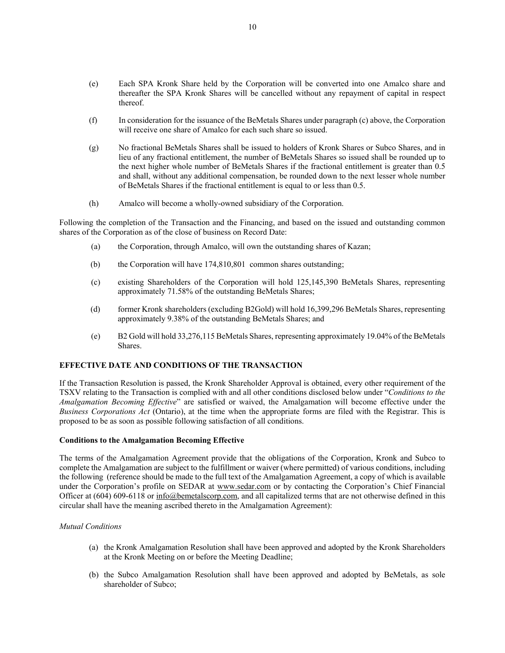- (e) Each SPA Kronk Share held by the Corporation will be converted into one Amalco share and thereafter the SPA Kronk Shares will be cancelled without any repayment of capital in respect thereof.
- (f) In consideration for the issuance of the BeMetals Shares under paragraph (c) above, the Corporation will receive one share of Amalco for each such share so issued.
- (g) No fractional BeMetals Shares shall be issued to holders of Kronk Shares or Subco Shares, and in lieu of any fractional entitlement, the number of BeMetals Shares so issued shall be rounded up to the next higher whole number of BeMetals Shares if the fractional entitlement is greater than 0.5 and shall, without any additional compensation, be rounded down to the next lesser whole number of BeMetals Shares if the fractional entitlement is equal to or less than 0.5.
- (h) Amalco will become a wholly-owned subsidiary of the Corporation.

Following the completion of the Transaction and the Financing, and based on the issued and outstanding common shares of the Corporation as of the close of business on Record Date:

- (a) the Corporation, through Amalco, will own the outstanding shares of Kazan;
- (b) the Corporation will have 174,810,801 common shares outstanding;
- (c) existing Shareholders of the Corporation will hold 125,145,390 BeMetals Shares, representing approximately 71.58% of the outstanding BeMetals Shares;
- (d) former Kronk shareholders (excluding B2Gold) will hold 16,399,296 BeMetals Shares, representing approximately 9.38% of the outstanding BeMetals Shares; and
- (e) B2 Gold will hold 33,276,115 BeMetals Shares, representing approximately 19.04% of the BeMetals Shares.

#### **EFFECTIVE DATE AND CONDITIONS OF THE TRANSACTION**

If the Transaction Resolution is passed, the Kronk Shareholder Approval is obtained, every other requirement of the TSXV relating to the Transaction is complied with and all other conditions disclosed below under "*Conditions to the Amalgamation Becoming Effective*" are satisfied or waived, the Amalgamation will become effective under the *Business Corporations Act* (Ontario), at the time when the appropriate forms are filed with the Registrar. This is proposed to be as soon as possible following satisfaction of all conditions.

#### **Conditions to the Amalgamation Becoming Effective**

The terms of the Amalgamation Agreement provide that the obligations of the Corporation, Kronk and Subco to complete the Amalgamation are subject to the fulfillment or waiver (where permitted) of various conditions, including the following (reference should be made to the full text of the Amalgamation Agreement, a copy of which is available under the Corporation's profile on SEDAR at www.sedar.com or by contacting the Corporation's Chief Financial Officer at (604) 609-6118 or info@bemetalscorp.com, and all capitalized terms that are not otherwise defined in this circular shall have the meaning ascribed thereto in the Amalgamation Agreement):

#### *Mutual Conditions*

- (a) the Kronk Amalgamation Resolution shall have been approved and adopted by the Kronk Shareholders at the Kronk Meeting on or before the Meeting Deadline;
- (b) the Subco Amalgamation Resolution shall have been approved and adopted by BeMetals, as sole shareholder of Subco;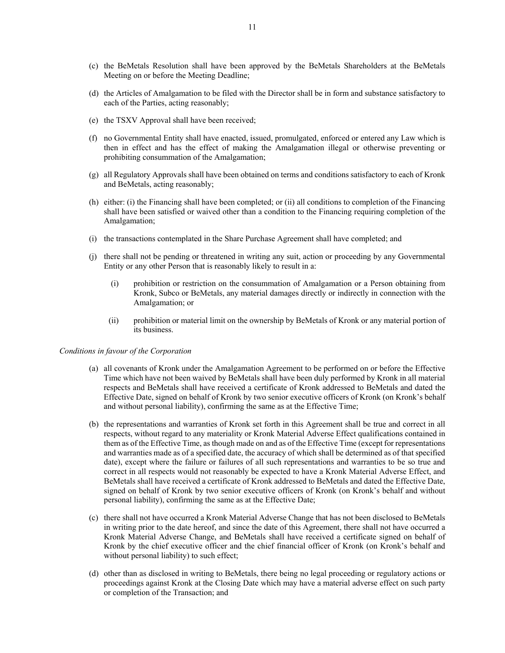- (c) the BeMetals Resolution shall have been approved by the BeMetals Shareholders at the BeMetals Meeting on or before the Meeting Deadline;
- (d) the Articles of Amalgamation to be filed with the Director shall be in form and substance satisfactory to each of the Parties, acting reasonably;
- (e) the TSXV Approval shall have been received;
- (f) no Governmental Entity shall have enacted, issued, promulgated, enforced or entered any Law which is then in effect and has the effect of making the Amalgamation illegal or otherwise preventing or prohibiting consummation of the Amalgamation;
- (g) all Regulatory Approvals shall have been obtained on terms and conditions satisfactory to each of Kronk and BeMetals, acting reasonably;
- (h) either: (i) the Financing shall have been completed; or (ii) all conditions to completion of the Financing shall have been satisfied or waived other than a condition to the Financing requiring completion of the Amalgamation;
- (i) the transactions contemplated in the Share Purchase Agreement shall have completed; and
- (j) there shall not be pending or threatened in writing any suit, action or proceeding by any Governmental Entity or any other Person that is reasonably likely to result in a:
	- (i) prohibition or restriction on the consummation of Amalgamation or a Person obtaining from Kronk, Subco or BeMetals, any material damages directly or indirectly in connection with the Amalgamation; or
	- (ii) prohibition or material limit on the ownership by BeMetals of Kronk or any material portion of its business.

#### *Conditions in favour of the Corporation*

- (a) all covenants of Kronk under the Amalgamation Agreement to be performed on or before the Effective Time which have not been waived by BeMetals shall have been duly performed by Kronk in all material respects and BeMetals shall have received a certificate of Kronk addressed to BeMetals and dated the Effective Date, signed on behalf of Kronk by two senior executive officers of Kronk (on Kronk's behalf and without personal liability), confirming the same as at the Effective Time;
- (b) the representations and warranties of Kronk set forth in this Agreement shall be true and correct in all respects, without regard to any materiality or Kronk Material Adverse Effect qualifications contained in them as of the Effective Time, as though made on and as of the Effective Time (except for representations and warranties made as of a specified date, the accuracy of which shall be determined as of that specified date), except where the failure or failures of all such representations and warranties to be so true and correct in all respects would not reasonably be expected to have a Kronk Material Adverse Effect, and BeMetals shall have received a certificate of Kronk addressed to BeMetals and dated the Effective Date, signed on behalf of Kronk by two senior executive officers of Kronk (on Kronk's behalf and without personal liability), confirming the same as at the Effective Date;
- (c) there shall not have occurred a Kronk Material Adverse Change that has not been disclosed to BeMetals in writing prior to the date hereof, and since the date of this Agreement, there shall not have occurred a Kronk Material Adverse Change, and BeMetals shall have received a certificate signed on behalf of Kronk by the chief executive officer and the chief financial officer of Kronk (on Kronk's behalf and without personal liability) to such effect;
- (d) other than as disclosed in writing to BeMetals, there being no legal proceeding or regulatory actions or proceedings against Kronk at the Closing Date which may have a material adverse effect on such party or completion of the Transaction; and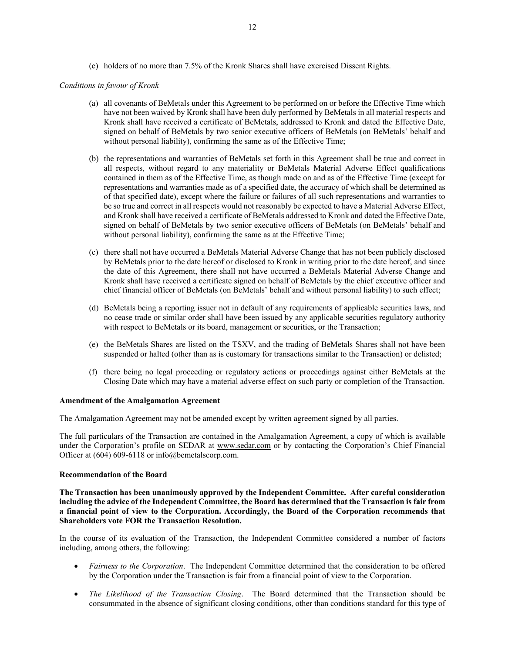(e) holders of no more than 7.5% of the Kronk Shares shall have exercised Dissent Rights.

#### *Conditions in favour of Kronk*

- (a) all covenants of BeMetals under this Agreement to be performed on or before the Effective Time which have not been waived by Kronk shall have been duly performed by BeMetals in all material respects and Kronk shall have received a certificate of BeMetals, addressed to Kronk and dated the Effective Date, signed on behalf of BeMetals by two senior executive officers of BeMetals (on BeMetals' behalf and without personal liability), confirming the same as of the Effective Time;
- (b) the representations and warranties of BeMetals set forth in this Agreement shall be true and correct in all respects, without regard to any materiality or BeMetals Material Adverse Effect qualifications contained in them as of the Effective Time, as though made on and as of the Effective Time (except for representations and warranties made as of a specified date, the accuracy of which shall be determined as of that specified date), except where the failure or failures of all such representations and warranties to be so true and correct in all respects would not reasonably be expected to have a Material Adverse Effect, and Kronk shall have received a certificate of BeMetals addressed to Kronk and dated the Effective Date, signed on behalf of BeMetals by two senior executive officers of BeMetals (on BeMetals' behalf and without personal liability), confirming the same as at the Effective Time;
- (c) there shall not have occurred a BeMetals Material Adverse Change that has not been publicly disclosed by BeMetals prior to the date hereof or disclosed to Kronk in writing prior to the date hereof, and since the date of this Agreement, there shall not have occurred a BeMetals Material Adverse Change and Kronk shall have received a certificate signed on behalf of BeMetals by the chief executive officer and chief financial officer of BeMetals (on BeMetals' behalf and without personal liability) to such effect;
- (d) BeMetals being a reporting issuer not in default of any requirements of applicable securities laws, and no cease trade or similar order shall have been issued by any applicable securities regulatory authority with respect to BeMetals or its board, management or securities, or the Transaction;
- (e) the BeMetals Shares are listed on the TSXV, and the trading of BeMetals Shares shall not have been suspended or halted (other than as is customary for transactions similar to the Transaction) or delisted;
- (f) there being no legal proceeding or regulatory actions or proceedings against either BeMetals at the Closing Date which may have a material adverse effect on such party or completion of the Transaction.

#### **Amendment of the Amalgamation Agreement**

The Amalgamation Agreement may not be amended except by written agreement signed by all parties.

The full particulars of the Transaction are contained in the Amalgamation Agreement, a copy of which is available under the Corporation's profile on SEDAR at www.sedar.com or by contacting the Corporation's Chief Financial Officer at (604) 609-6118 or info@bemetalscorp.com.

#### **Recommendation of the Board**

**The Transaction has been unanimously approved by the Independent Committee. After careful consideration including the advice of the Independent Committee, the Board has determined that the Transaction is fair from a financial point of view to the Corporation. Accordingly, the Board of the Corporation recommends that Shareholders vote FOR the Transaction Resolution.** 

In the course of its evaluation of the Transaction, the Independent Committee considered a number of factors including, among others, the following:

- *Fairness to the Corporation*. The Independent Committee determined that the consideration to be offered by the Corporation under the Transaction is fair from a financial point of view to the Corporation.
- *The Likelihood of the Transaction Closing*. The Board determined that the Transaction should be consummated in the absence of significant closing conditions, other than conditions standard for this type of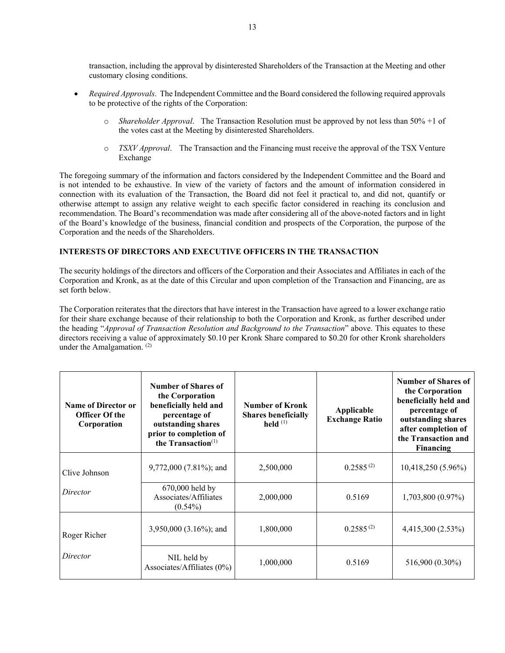transaction, including the approval by disinterested Shareholders of the Transaction at the Meeting and other customary closing conditions.

- *Required Approvals*. The Independent Committee and the Board considered the following required approvals to be protective of the rights of the Corporation:
	- o *Shareholder Approval*. The Transaction Resolution must be approved by not less than 50% +1 of the votes cast at the Meeting by disinterested Shareholders.
	- o *TSXV Approval*. The Transaction and the Financing must receive the approval of the TSX Venture Exchange

The foregoing summary of the information and factors considered by the Independent Committee and the Board and is not intended to be exhaustive. In view of the variety of factors and the amount of information considered in connection with its evaluation of the Transaction, the Board did not feel it practical to, and did not, quantify or otherwise attempt to assign any relative weight to each specific factor considered in reaching its conclusion and recommendation. The Board's recommendation was made after considering all of the above-noted factors and in light of the Board's knowledge of the business, financial condition and prospects of the Corporation, the purpose of the Corporation and the needs of the Shareholders.

#### **INTERESTS OF DIRECTORS AND EXECUTIVE OFFICERS IN THE TRANSACTION**

The security holdings of the directors and officers of the Corporation and their Associates and Affiliates in each of the Corporation and Kronk, as at the date of this Circular and upon completion of the Transaction and Financing, are as set forth below.

The Corporation reiterates that the directors that have interest in the Transaction have agreed to a lower exchange ratio for their share exchange because of their relationship to both the Corporation and Kronk, as further described under the heading "*Approval of Transaction Resolution and Background to the Transaction*" above. This equates to these directors receiving a value of approximately \$0.10 per Kronk Share compared to \$0.20 for other Kronk shareholders under the Amalgamation. (2)

| <b>Name of Director or</b><br><b>Officer Of the</b><br>Corporation | Number of Shares of<br>the Corporation<br>beneficially held and<br>percentage of<br>outstanding shares<br>prior to completion of<br>the Transaction <sup>(1)</sup> | <b>Number of Kronk</b><br><b>Shares beneficially</b><br>held $(1)$ | Applicable<br><b>Exchange Ratio</b> | Number of Shares of<br>the Corporation<br>beneficially held and<br>percentage of<br>outstanding shares<br>after completion of<br>the Transaction and<br><b>Financing</b> |
|--------------------------------------------------------------------|--------------------------------------------------------------------------------------------------------------------------------------------------------------------|--------------------------------------------------------------------|-------------------------------------|--------------------------------------------------------------------------------------------------------------------------------------------------------------------------|
| Clive Johnson                                                      | $9,772,000$ (7.81%); and                                                                                                                                           | 2,500,000                                                          | $0.2585^{(2)}$                      | 10,418,250 (5.96%)                                                                                                                                                       |
| Director                                                           | 670,000 held by<br>Associates/Affiliates<br>$(0.54\%)$                                                                                                             | 2,000,000                                                          | 0.5169                              | 1,703,800 (0.97%)                                                                                                                                                        |
| Roger Richer                                                       | 3,950,000 (3.16%); and                                                                                                                                             | 1,800,000                                                          | $0.2585^{(2)}$                      | 4,415,300 (2.53%)                                                                                                                                                        |
| Director                                                           | NIL held by<br>Associates/Affiliates (0%)                                                                                                                          | 1,000,000                                                          | 0.5169                              | 516,900 (0.30%)                                                                                                                                                          |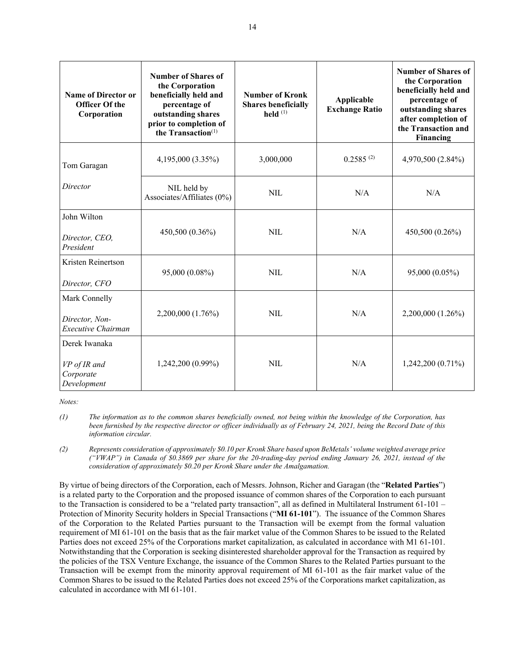| <b>Name of Director or</b><br><b>Officer Of the</b><br>Corporation | <b>Number of Shares of</b><br>the Corporation<br>beneficially held and<br>percentage of<br>outstanding shares<br>prior to completion of<br>the Transaction $(1)$ | <b>Number of Kronk</b><br><b>Shares beneficially</b><br>held $(1)$ | Applicable<br><b>Exchange Ratio</b> | Number of Shares of<br>the Corporation<br>beneficially held and<br>percentage of<br>outstanding shares<br>after completion of<br>the Transaction and<br>Financing |
|--------------------------------------------------------------------|------------------------------------------------------------------------------------------------------------------------------------------------------------------|--------------------------------------------------------------------|-------------------------------------|-------------------------------------------------------------------------------------------------------------------------------------------------------------------|
| Tom Garagan                                                        | 4,195,000 (3.35%)                                                                                                                                                | 3,000,000                                                          | $0.2585^{(2)}$                      | 4,970,500 (2.84%)                                                                                                                                                 |
| Director                                                           | NIL held by<br>Associates/Affiliates (0%)                                                                                                                        | <b>NIL</b>                                                         | N/A                                 | N/A                                                                                                                                                               |
| John Wilton<br>Director, CEO,<br>President                         | 450,500 (0.36%)                                                                                                                                                  | <b>NIL</b>                                                         | N/A                                 | 450,500 (0.26%)                                                                                                                                                   |
| Kristen Reinertson<br>Director, CFO                                | 95,000 (0.08%)                                                                                                                                                   | <b>NIL</b>                                                         | N/A                                 | 95,000 (0.05%)                                                                                                                                                    |
| Mark Connelly<br>Director, Non-<br>Executive Chairman              | 2,200,000 (1.76%)                                                                                                                                                | <b>NIL</b>                                                         | N/A                                 | 2,200,000 (1.26%)                                                                                                                                                 |
| Derek Iwanaka<br>VP of IR and<br>Corporate<br>Development          | 1,242,200 (0.99%)                                                                                                                                                | <b>NIL</b>                                                         | N/A                                 | $1,242,200(0.71\%)$                                                                                                                                               |

*Notes:* 

By virtue of being directors of the Corporation, each of Messrs. Johnson, Richer and Garagan (the "**Related Parties**") is a related party to the Corporation and the proposed issuance of common shares of the Corporation to each pursuant to the Transaction is considered to be a "related party transaction", all as defined in Multilateral Instrument 61-101 – Protection of Minority Security holders in Special Transactions ("**MI 61-101**"). The issuance of the Common Shares of the Corporation to the Related Parties pursuant to the Transaction will be exempt from the formal valuation requirement of MI 61-101 on the basis that as the fair market value of the Common Shares to be issued to the Related Parties does not exceed 25% of the Corporations market capitalization, as calculated in accordance with M1 61-101. Notwithstanding that the Corporation is seeking disinterested shareholder approval for the Transaction as required by the policies of the TSX Venture Exchange, the issuance of the Common Shares to the Related Parties pursuant to the Transaction will be exempt from the minority approval requirement of MI 61-101 as the fair market value of the Common Shares to be issued to the Related Parties does not exceed 25% of the Corporations market capitalization, as calculated in accordance with MI 61-101.

*<sup>(1)</sup> The information as to the common shares beneficially owned, not being within the knowledge of the Corporation, has been furnished by the respective director or officer individually as of February 24, 2021, being the Record Date of this information circular.* 

*<sup>(2)</sup> Represents consideration of approximately \$0.10 per Kronk Share based upon BeMetals' volume weighted average price ("VWAP") in Canada of \$0.3869 per share for the 20-trading-day period ending January 26, 2021, instead of the consideration of approximately \$0.20 per Kronk Share under the Amalgamation.*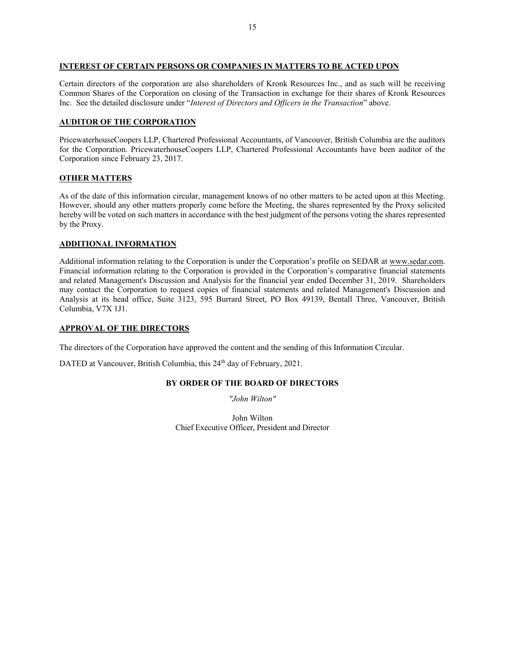#### **INTEREST OF CERTAIN PERSONS OR COMPANIES IN MATTERS TO BE ACTED UPON**

Certain directors of the corporation are also shareholders of Kronk Resources Inc., and as such will be receiving Common Shares of the Corporation on closing of the Transaction in exchange for their shares of Kronk Resources Inc. See the detailed disclosure under "*Interest of Directors and Officers in the Transaction*" above.

#### **AUDITOR OF THE CORPORATION**

PricewaterhouseCoopers LLP, Chartered Professional Accountants, of Vancouver, British Columbia are the auditors for the Corporation. PricewaterhouseCoopers LLP, Chartered Professional Accountants have been auditor of the Corporation since February 23, 2017.

#### **OTHER MATTERS**

As of the date of this information circular, management knows of no other matters to be acted upon at this Meeting. However, should any other matters properly come before the Meeting, the shares represented by the Proxy solicited hereby will be voted on such matters in accordance with the best judgment of the persons voting the shares represented by the Proxy.

#### **ADDITIONAL INFORMATION**

Additional information relating to the Corporation is under the Corporation's profile on SEDAR at www.sedar.com. Financial information relating to the Corporation is provided in the Corporation's comparative financial statements and related Management's Discussion and Analysis for the financial year ended December 31, 2019. Shareholders may contact the Corporation to request copies of financial statements and related Management's Discussion and Analysis at its head office, Suite 3123, 595 Burrard Street, PO Box 49139, Bentall Three, Vancouver, British Columbia, V7X 1J1.

#### **APPROVAL OF THE DIRECTORS**

The directors of the Corporation have approved the content and the sending of this Information Circular.

DATED at Vancouver, British Columbia, this 24<sup>th</sup> day of February, 2021.

#### **BY ORDER OF THE BOARD OF DIRECTORS**

*"John Wilton"* 

John Wilton Chief Executive Officer, President and Director